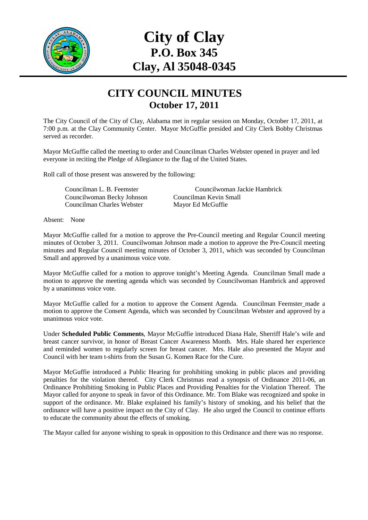

## **City of Clay P.O. Box 345 Clay, Al 35048-0345**

## **CITY COUNCIL MINUTES October 17, 2011**

The City Council of the City of Clay, Alabama met in regular session on Monday, October 17, 2011, at 7:00 p.m. at the Clay Community Center. Mayor McGuffie presided and City Clerk Bobby Christmas served as recorder.

Mayor McGuffie called the meeting to order and Councilman Charles Webster opened in prayer and led everyone in reciting the Pledge of Allegiance to the flag of the United States.

Roll call of those present was answered by the following:

Councilwoman Becky Johnson Councilman Kevin Small Councilman Charles Webster Mayor Ed McGuffie

Councilman L. B. Feemster Councilwoman Jackie Hambrick

Absent: None

Mayor McGuffie called for a motion to approve the Pre-Council meeting and Regular Council meeting minutes of October 3, 2011. Councilwoman Johnson made a motion to approve the Pre-Council meeting minutes and Regular Council meeting minutes of October 3, 2011, which was seconded by Councilman Small and approved by a unanimous voice vote.

Mayor McGuffie called for a motion to approve tonight's Meeting Agenda. Councilman Small made a motion to approve the meeting agenda which was seconded by Councilwoman Hambrick and approved by a unanimous voice vote.

Mayor McGuffie called for a motion to approve the Consent Agenda. Councilman Feemster made a motion to approve the Consent Agenda, which was seconded by Councilman Webster and approved by a unanimous voice vote.

Under **Scheduled Public Comments**, Mayor McGuffie introduced Diana Hale, Sherriff Hale's wife and breast cancer survivor, in honor of Breast Cancer Awareness Month. Mrs. Hale shared her experience and reminded women to regularly screen for breast cancer. Mrs. Hale also presented the Mayor and Council with her team t-shirts from the Susan G. Komen Race for the Cure.

Mayor McGuffie introduced a Public Hearing for prohibiting smoking in public places and providing penalties for the violation thereof. City Clerk Christmas read a synopsis of Ordinance 2011-06, an Ordinance Prohibiting Smoking in Public Places and Providing Penalties for the Violation Thereof. The Mayor called for anyone to speak in favor of this Ordinance. Mr. Tom Blake was recognized and spoke in support of the ordinance. Mr. Blake explained his family's history of smoking, and his belief that the ordinance will have a positive impact on the City of Clay. He also urged the Council to continue efforts to educate the community about the effects of smoking.

The Mayor called for anyone wishing to speak in opposition to this Ordinance and there was no response.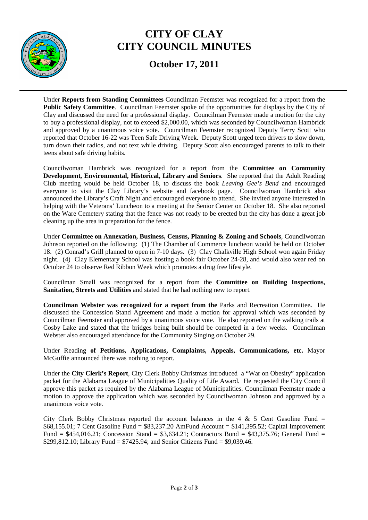

## **CITY OF CLAY CITY COUNCIL MINUTES**

**October 17, 2011** 

Under **Reports from Standing Committees** Councilman Feemster was recognized for a report from the **Public Safety Committee**. Councilman Feemster spoke of the opportunities for displays by the City of Clay and discussed the need for a professional display. Councilman Feemster made a motion for the city to buy a professional display, not to exceed \$2,000.00, which was seconded by Councilwoman Hambrick and approved by a unanimous voice vote. Councilman Feemster recognized Deputy Terry Scott who reported that October 16-22 was Teen Safe Driving Week. Deputy Scott urged teen drivers to slow down, turn down their radios, and not text while driving. Deputy Scott also encouraged parents to talk to their teens about safe driving habits.

Councilwoman Hambrick was recognized for a report from the **Committee on Community Development, Environmental, Historical, Library and Seniors**. She reported that the Adult Reading Club meeting would be held October 18, to discuss the book *Leaving Gee's Bend* and encouraged everyone to visit the Clay Library's website and facebook page. Councilwoman Hambrick also announced the Library's Craft Night and encouraged everyone to attend. She invited anyone interested in helping with the Veterans' Luncheon to a meeting at the Senior Center on October 18. She also reported on the Ware Cemetery stating that the fence was not ready to be erected but the city has done a great job cleaning up the area in preparation for the fence.

Under **Committee on Annexation, Business, Census, Planning & Zoning and Schools**, Councilwoman Johnson reported on the following: (1) The Chamber of Commerce luncheon would be held on October 18. (2) Conrad's Grill planned to open in 7-10 days. (3) Clay Chalkville High School won again Friday night. (4) Clay Elementary School was hosting a book fair October 24-28, and would also wear red on October 24 to observe Red Ribbon Week which promotes a drug free lifestyle.

Councilman Small was recognized for a report from the **Committee on Building Inspections, Sanitation, Streets and Utilities** and stated that he had nothing new to report.

**Councilman Webster was recognized for a report from the** Parks and Recreation Committee**.** He discussed the Concession Stand Agreement and made a motion for approval which was seconded by Councilman Feemster and approved by a unanimous voice vote. He also reported on the walking trails at Cosby Lake and stated that the bridges being built should be competed in a few weeks. Councilman Webster also encouraged attendance for the Community Singing on October 29.

Under Reading **of Petitions, Applications, Complaints, Appeals, Communications, etc.** Mayor McGuffie announced there was nothing to report.

Under the **City Clerk's Report**, City Clerk Bobby Christmas introduced a "War on Obesity" application packet for the Alabama League of Municipalities Quality of Life Award. He requested the City Council approve this packet as required by the Alabama League of Municipalities. Councilman Feemster made a motion to approve the application which was seconded by Councilwoman Johnson and approved by a unanimous voice vote.

City Clerk Bobby Christmas reported the account balances in the 4  $\&$  5 Cent Gasoline Fund = \$68,155.01; 7 Cent Gasoline Fund = \$83,237.20 AmFund Account = \$141,395.52; Capital Improvement Fund = \$454,016.21; Concession Stand = \$3,634.21; Contractors Bond = \$43,375.76; General Fund = \$299,812.10; Library Fund = \$7425.94; and Senior Citizens Fund = \$9,039.46.